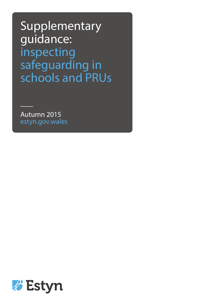Supplementary guidance: inspecting safeguarding in schools and PRUs

Autumn 2015 estyn.gov.wales

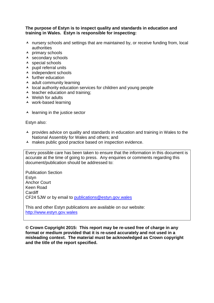### **The purpose of Estyn is to inspect quality and standards in education and training in Wales. Estyn is responsible for inspecting:**

- $\lambda$  nursery schools and settings that are maintained by, or receive funding from, local authorities
- $\overline{\phantom{a}}$  primary schools
- $\overline{\phantom{a}}$  secondary schools
- $\triangle$  special schools
- $\lambda$  pupil referral units
- $\overline{\phantom{a}}$  independent schools
- $\blacktriangle$  further education
- $\triangle$  adult community learning
- $\lambda$  local authority education services for children and young people
- $\triangle$  teacher education and training;
- $\triangle$  Welsh for adults
- work-based learning
- $\triangle$  learning in the justice sector

Estyn also:

- $\lambda$  provides advice on quality and standards in education and training in Wales to the National Assembly for Wales and others; and
- A makes public good practice based on inspection evidence.

Every possible care has been taken to ensure that the information in this document is accurate at the time of going to press. Any enquiries or comments regarding this document/publication should be addressed to:

Publication Section Estyn Anchor Court Keen Road Cardiff CF24 5JW or by email to [publications@estyn.gov.wales](mailto:publications@estyn.gov.uk)

This and other Estyn publications are available on our website: [http://www.estyn.gov.wales](http://www.estyn.gov.uk/)

**© Crown Copyright 2015: This report may be re-used free of charge in any format or medium provided that it is re-used accurately and not used in a misleading context. The material must be acknowledged as Crown copyright and the title of the report specified.**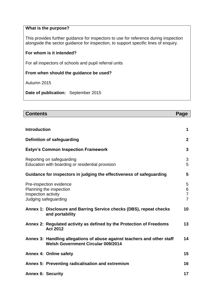## **What is the purpose?**

This provides further guidance for inspectors to use for reference during inspection alongside the sector guidance for inspection, to support specific lines of enquiry.

### **For whom is it intended?**

For all inspectors of schools and pupil referral units

### **From when should the guidance be used?**

Autumn 2015

**Date of publication:** September 2015

# **Contents Page**

| <b>Introduction</b>                                                                                                  | 1                                          |
|----------------------------------------------------------------------------------------------------------------------|--------------------------------------------|
| <b>Definition of safeguarding</b>                                                                                    | $\mathbf{2}$                               |
| <b>Estyn's Common Inspection Framework</b>                                                                           | $\overline{3}$                             |
| Reporting on safeguarding<br>Education with boarding or residential provision                                        | 3<br>5                                     |
| Guidance for inspectors in judging the effectiveness of safeguarding                                                 | 5                                          |
| Pre-inspection evidence<br>Planning the inspection<br>Inspection activity<br>Judging safeguarding                    | 5<br>6<br>$\overline{7}$<br>$\overline{7}$ |
| Annex 1: Disclosure and Barring Service checks (DBS), repeat checks<br>and portability                               | 10                                         |
| Annex 2: Regulated activity as defined by the Protection of Freedoms<br><b>Act 2012</b>                              | 13                                         |
| Annex 3: Handling allegations of abuse against teachers and other staff<br><b>Welsh Government Circular 009/2014</b> | 14                                         |
| Annex 4: Online safety                                                                                               | 15                                         |
| Annex 5: Preventing radicalisation and extremism                                                                     | 16                                         |
| <b>Annex 6: Security</b>                                                                                             | 17                                         |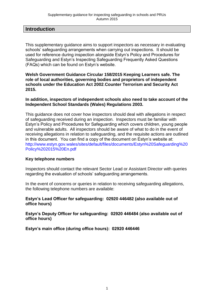## <span id="page-3-0"></span>**Introduction**

This supplementary guidance aims to support inspectors as necessary in evaluating schools' safeguarding arrangements when carrying out inspections. It should be used for reference during inspection alongside Estyn's Policy and Procedures for Safeguarding and Estyn's Inspecting Safeguarding Frequently Asked Questions (FAQs) which can be found on Estyn's website.

**Welsh Government Guidance Circular 158/2015 Keeping Learners safe. The role of local authorities, governing bodies and proprietors of independent schools under the Education Act 2002**.**Counter Terrorism and Security Act 2015.**

## **In addition, inspectors of independent schools also need to take account of the Independent School Standards (Wales) Regulations 2003.**

This guidance does not cover how inspectors should deal with allegations in respect of safeguarding received during an inspection. Inspectors must be familiar with Estyn's Policy and Procedures for Safeguarding which covers children, young people and vulnerable adults. All inspectors should be aware of what to do in the event of receiving allegations in relation to safeguarding, and the requisite actions are outlined in this document. You can find a copy of the document on Estyn's website at: [http://www.estyn.gov.wales/sites/default/files/documents/Estyn%20Safeguarding%20](http://www.estyn.gov.wales/sites/default/files/documents/Estyn%20Safeguarding%20Policy%202015%20En.pdf) [Policy%202015%20En.pdf](http://www.estyn.gov.wales/sites/default/files/documents/Estyn%20Safeguarding%20Policy%202015%20En.pdf)

### **Key telephone numbers**

Inspectors should contact the relevant Sector Lead or Assistant Director with queries regarding the evaluation of schools' safeguarding arrangements.

In the event of concerns or queries in relation to receiving safeguarding allegations, the following telephone numbers are available:

### **Estyn's Lead Officer for safeguarding: 02920 446482 (also available out of office hours)**

**Estyn's Deputy Officer for safeguarding: 02920 446484 (also available out of office hours)**

**Estyn's main office (during office hours): 02920 446446**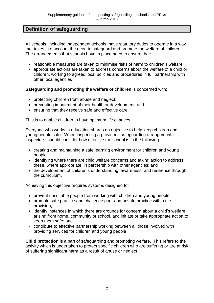# <span id="page-4-0"></span>**Definition of safeguarding**

All schools, including independent schools, have statutory duties to operate in a way that takes into account the need to safeguard and promote the welfare of children. The arrangements that schools have in place need to ensure that:

- reasonable measures are taken to minimise risks of harm to children's welfare
- appropriate actions are taken to address concerns about the welfare of a child or children, working to agreed local policies and procedures in full partnership with other local agencies

## **Safeguarding and promoting the welfare of children** is concerned with:

- protecting children from abuse and neglect;
- preventing impairment of their health or development; and
- ensuring that they receive safe and effective care.

This is to enable children to have optimum life chances.

Everyone who works in education shares an objective to help keep children and young people safe. When inspecting a provider's safeguarding arrangements inspectors should consider how effective the school is in the following:

- creating and maintaining a safe learning environment for children and young people;
- identifying where there are child welfare concerns and taking action to address these, where appropriate, in partnership with other agencies; and
- the development of children's understanding, awareness, and resilience through the curriculum.

Achieving this objective requires systems designed to:

- prevent unsuitable people from working with children and young people:
- promote safe practice and challenge poor and unsafe practice within the provision;
- identify instances in which there are grounds for concern about a child's welfare arising from home, community or school, and initiate or take appropriate action to keep them safe; and
- contribute to effective partnership working between all those involved with providing services for children and young people

**Child protection** is a part of safeguarding and promoting welfare. This refers to the activity which is undertaken to protect specific children who are suffering or are at risk of suffering significant harm as a result of abuse or neglect.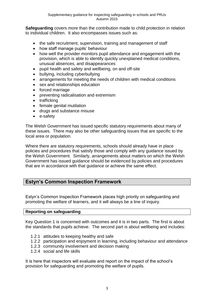**Safeguarding** covers more than the contribution made to child protection in relation to individual children. It also encompasses issues such as:

- the safe recruitment, supervision, training and management of staff
- how staff manage pupils' behaviour
- how well the provider monitors pupil attendance and engagement with the provision, which is able to identify quickly unexplained medical conditions, unusual absences, and disappearances
- pupil health and safety and wellbeing, on and off-site
- bullying, including cyberbullying
- arrangements for meeting the needs of children with medical conditions
- sex and relationships education
- forced marriage
- preventing radicalisation and extremism
- trafficking
- female genital mutilation
- drugs and substance misuse
- e-safety

The Welsh Government has issued specific statutory requirements about many of these issues. There may also be other safeguarding issues that are specific to the local area or population.

Where there are statutory requirements, schools should already have in place policies and procedures that satisfy those and comply with any guidance issued by the Welsh Government. Similarly, arrangements about matters on which the Welsh Government has issued guidance should be evidenced by policies and procedures that are in accordance with that guidance or achieve the same effect.

# <span id="page-5-0"></span>**Estyn's Common Inspection Framework**

Estyn's Common Inspection Framework places high priority on safeguarding and promoting the welfare of learners, and it will always be a line of inquiry.

### <span id="page-5-1"></span>**Reporting on safeguarding**

Key Question 1 is concerned with outcomes and it is in two parts. The first is about the standards that pupils achieve. The second part is about wellbeing and includes:

- 1.2.1 attitudes to keeping healthy and safe
- 1.2.2 participation and enjoyment in learning, including behaviour and attendance
- 1.2.3 community involvement and decision making
- 1.2.4 social and life skills

It is here that inspectors will evaluate and report on the impact of the school's provision for safeguarding and promoting the welfare of pupils.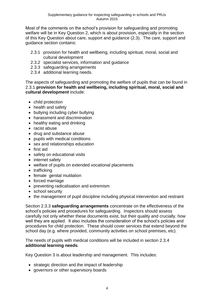Most of the comments on the school's provision for safeguarding and promoting welfare will be in Key Question 2, which is about provision, especially in the section of this Key Question about care, support and guidance (2.3). The care, support and guidance section contains:

- 2.3.1 provision for health and wellbeing, including spiritual, moral, social and cultural development
- 2.3.2 specialist services, information and guidance
- 2.3.3 safeguarding arrangements
- 2.3.4 additional learning needs.

The aspects of safeguarding and promoting the welfare of pupils that can be found in 2.3.1 **provision for health and wellbeing, including spiritual, moral, social and cultural development** include:

- child protection
- health and safety
- bullying including cyber bullying
- harassment and discrimination
- healthy eating and drinking
- racist abuse
- drug and substance abuse
- pupils with medical conditions
- sex and relationships education
- $\bullet$  first aid
- safety on educational visits
- internet safety
- welfare of pupils on extended vocational placements
- $\bullet$  trafficking
- female genital mutilation
- forced marriage
- preventing radicalisation and extremism
- school security
- the management of pupil discipline including physical intervention and restraint

Section 2.3.3 **safeguarding arrangements** concentrate on the effectiveness of the school's policies and procedures for safeguarding. Inspectors should assess carefully not only whether these documents exist, but their quality and crucially, how well they are applied. It also includes the consideration of the school's policies and procedures for child protection. These should cover services that extend beyond the school day (e.g. where provided, community activities on school premises, etc).

The needs of pupils with medical conditions will be included in section 2.3.4 **additional learning needs***.*

Key Question 3 is about leadership and management. This includes:

- strategic direction and the impact of leadership
- governors or other supervisory boards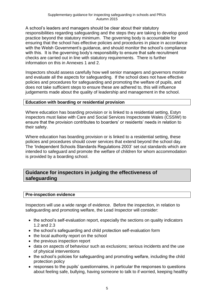A school's leaders and managers should be clear about their statutory responsibilities regarding safeguarding and the steps they are taking to develop good practice beyond the statutory minimum. The governing body is accountable for ensuring that the school has effective policies and procedures in place in accordance with the Welsh Government's quidance, and should monitor the school's compliance with this. It is the governing body's responsibility to ensure that safe recruitment checks are carried out in line with statutory requirements. There is further information on this in Annexes 1 and 2.

Inspectors should assess carefully how well senior managers and governors monitor and evaluate all the aspects for safeguarding. If the school does not have effective policies and procedures for safeguarding and promoting the welfare of pupils, and does not take sufficient steps to ensure these are adhered to, this will influence judgements made about the quality of leadership and management in the school.

### <span id="page-7-0"></span>**Education with boarding or residential provision**

Where education has boarding provision or is linked to a residential setting, Estyn inspectors must liaise with Care and Social Services Inspectorate Wales (CSSIW) to ensure that the provision contributes to boarders' or residents' needs in relation to their safety.

Where education has boarding provision or is linked to a residential setting, these policies and procedures should cover services that extend beyond the school day. The 'Independent Schools Standards Regulations 2003' set out standards which are intended to safeguard and promote the welfare of children for whom accommodation is provided by a boarding school.

# <span id="page-7-1"></span>**Guidance for inspectors in judging the effectiveness of safeguarding**

### <span id="page-7-2"></span>**Pre-inspection evidence**

Inspectors will use a wide range of evidence. Before the inspection, in relation to safeguarding and promoting welfare, the Lead Inspector will consider:

- the school's self-evaluation report, especially the sections on quality indicators 1.2 and 2.3
- the school's safeguarding and child protection self-evaluation form
- the local authority report on the school
- the previous inspection report
- data on aspects of behaviour such as exclusions; serious incidents and the use of physical interventions
- the school's policies for safeguarding and promoting welfare, including the child protection policy
- responses to the pupils' questionnaires, in particular the responses to questions about feeling safe, bullying, having someone to talk to if worried, keeping healthy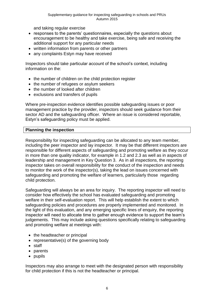and taking regular exercise

- responses to the parents' questionnaires, especially the questions about encouragement to be healthy and take exercise, being safe and receiving the additional support for any particular needs
- written information from parents or other partners
- any complaints Estyn may have received

Inspectors should take particular account of the school's context, including information on the:

- the number of children on the child protection register
- the number of refugees or asylum seekers
- the number of looked after children
- exclusions and transfers of pupils

Where pre-inspection evidence identifies possible safeguarding issues or poor management practice by the provider, inspectors should seek guidance from their sector AD and the safeguarding officer. Where an issue is considered reportable, Estyn's safeguarding policy must be applied.

### <span id="page-8-0"></span>**Planning the inspection**

Responsibility for inspecting safeguarding can be allocated to any team member, including the peer inspector and lay inspector. It may be that different inspectors are responsible for different aspects of safeguarding and promoting welfare as they occur in more than one quality indicator, for example in 1.2 and 2.3 as well as in aspects of leadership and management in Key Question 3. As in all inspections, the reporting inspector takes on overall responsibility for the conduct of the inspection and needs to monitor the work of the inspector(s), taking the lead on issues concerned with safeguarding and promoting the welfare of learners, particularly those regarding child protection.

Safeguarding will always be an area for inquiry. The reporting inspector will need to consider how effectively the school has evaluated safeguarding and promoting welfare in their self-evaluation report. This will help establish the extent to which safeguarding policies and procedures are properly implemented and monitored. In the light of this evaluation, and any emerging specific lines of enquiry, the reporting inspector will need to allocate time to gather enough evidence to support the team's judgements. This may include asking questions specifically relating to safeguarding and promoting welfare at meetings with:

- the headteacher or principal
- representative(s) of the governing body
- staff
- parents
- pupils

Inspectors may also arrange to meet with the designated person with responsibility for child protection if this is not the headteacher or principal.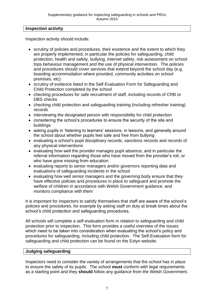## <span id="page-9-0"></span>**Inspection activity**

Inspection activity should include:

- scrutiny of policies and procedures, their existence and the extent to which they are properly implemented, in particular the policies for safeguarding, child protection, health and safety, bullying, internet safety, risk assessment on school trips behaviour management and the use of physical intervention. The policies and procedures should cover services that extend beyond the school day (e.g. boarding accommodation where provided, community activities on school premises, etc)
- scrutiny of evidence listed in the Self-Evaluation Form for Safeguarding and Child Protection completed by the school
- checking procedures for safe recruitment of staff, including records of CRB or DBS checks
- checking child protection and safeguarding training (including refresher training) records
- interviewing the designated person with responsibility for child protection
- considering the school's procedures to ensure the security of the site and buildings
- asking pupils in 'listening to learners' sessions, in lessons, and generally around the school about whether pupils feel safe and free from bullying
- evaluating a school's pupil disciplinary records, sanctions records and records of any physical interventions
- evaluating how well the provider manages pupil absence, and in particular the referral information regarding those who have moved from the provider's roll, or who have gone missing from education
- evaluating reports to senior managers and/or governors reporting data and evaluations of safeguarding incidents in the school
- evaluating how well senior managers and the governing body ensure that they have effective policies and procedures in place to safeguard and promote the welfare of children in accordance with Welsh Government guidance, and monitors compliance with them

It is important for inspectors to satisfy themselves that staff are aware of the school's policies and procedures, for example by asking staff on duty at break times about the school's child protection and safeguarding procedures.

All schools will complete a self-evaluation form in relation to safeguarding and child protection prior to inspection. This form provides a useful overview of the issues which need to be taken into consideration when evaluating the school's policy and procedures for safeguarding, including child protection. The Self-Evaluation form for safeguarding and child protection can be found on the Estyn website.

## <span id="page-9-1"></span>**Judging safeguarding**

Inspectors need to consider the variety of arrangements that the school has in place to ensure the safety of its pupils. The school **must** conform with legal requirements as a starting point and they **should** follow any guidance from the Welsh Government.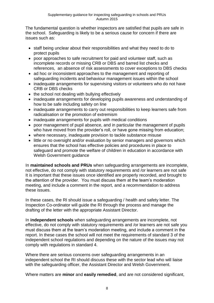The fundamental question is whether inspectors are satisfied that pupils are safe in the school. Safeguarding is likely to be a serious cause for concern if there are issues such as:

- staff being unclear about their responsibilities and what they need to do to protect pupils
- poor approaches to safe recruitment for paid and volunteer staff, such as incomplete records or missing CRB or DBS and barred list checks and references, an absence of risk assessments to cover exceptions to DBS checks
- ad hoc or inconsistent approaches to the management and reporting of safeguarding incidents and behaviour management issues within the school
- inadequate arrangements for supervising visitors or volunteers who do not have CRB or DBS checks
- the school not dealing with bullying effectively
- inadequate arrangements for developing pupils awareness and understanding of how to be safe including safety on line
- inadequate arrangements to carry out responsibilities to keep learners safe from radicalisation or the promotion of extremism
- inadequate arrangements for pupils with medical conditions
- poor management of pupil absence, and in particular the management of pupils who have moved from the provider's roll, or have gone missing from education;
- where necessary, inadequate provision to tackle substance misuse
- little or no oversight and/or evaluation by senior managers and governors which ensures that the school has effective policies and procedures in place to safeguard and promote the welfare of children in education in accordance with Welsh Government guidance

In **maintained schools and PRUs** when safeguarding arrangements are incomplete, not effective, do not comply with statutory requirements and /or learners are not safe It is important that these issues once identified are properly recorded, and brought to the attention of the provider. You must discuss them at the team's moderation meeting, and include a comment in the report, and a recommendation to address these issues.

In these cases, the RI should issue a safeguarding / health and safety letter. The Inspection Co-ordinator will guide the RI through the process and manage the drafting of the letter with the appropriate Assistant Director.

In **independent schools** when safeguarding arrangements are incomplete, not effective, do not comply with statutory requirements and /or learners are not safe you must discuss them at the team's moderation meeting, and include a comment in the report. In these cases the school will not meet the requirements of standard 3 of the Independent school regulations and depending on the nature of the issues may not comply with regulations in standard 4.

Where there are serious concerns over safeguarding arrangements in an independent school the RI should discuss these with the sector lead who will liaise with the safeguarding officer, the Assistant Director and Welsh Government.

Where matters are **minor** and **easily remedied**, and are not considered significant,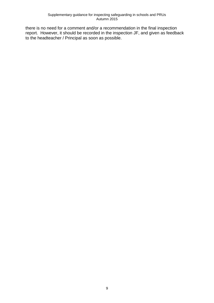there is no need for a comment and/or a recommendation in the final inspection report. However, it should be recorded in the inspection JF, and given as feedback to the headteacher / Principal as soon as possible.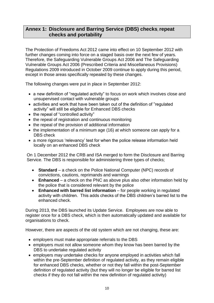# <span id="page-12-0"></span>**Annex 1: Disclosure and Barring Service (DBS) checks**, **repeat checks and portability**

The Protection of Freedoms Act 2012 came into effect on 10 September 2012 with further changes coming into force on a staged basis over the next few of years. Therefore, the Safeguarding Vulnerable Groups Act 2006 and The Safeguarding Vulnerable Groups Act 2006 (Prescribed Criteria and Miscellaneous Provisions) Regulations 2009 introduced in October 2009 continue to apply during this period, except in those areas specifically repealed by these changes.

The following changes were put in place in September 2012:

- a new definition of "regulated activity" to focus on work which involves close and unsupervised contact with vulnerable groups
- activities and work that have been taken out of the definition of "regulated activity" will still be eligible for Enhanced DBS checks
- $\bullet$  the repeal of "controlled activity"
- the repeal of registration and continuous monitoring
- the repeal of the provision of additional information
- the implementation of a minimum age (16) at which someone can apply for a DBS check
- a more rigorous 'relevancy' test for when the police release information held locally on an enhanced DBS check

On 1 December 2012 the CRB and ISA merged to form the Disclosure and Barring Service. The DBS is responsible for administering three types of checks;

- **Standard** a check on the Police National Computer (NPC) records of convictions, cautions, reprimands and warnings
- **Enhanced**  a check on the PNC as above plus also other information held by the police that is considered relevant by the police
- **Enhanced with barred list information** for people working in regulated activity with children. This adds checks of the DBS children's barred list to the enhanced check.

During 2013, the DBS launched its Update Service. Employees are now able to register once for a DBS check, which is then automatically updated and available for organisations to check.

However, there are aspects of the old system which are not changing, these are:

- employers must make appropriate referrals to the DBS
- employers must not allow someone whom they know has been barred by the DBS to undertake regulated activity
- employers may undertake checks for anyone employed in activities which fall within the pre-September definition of regulated activity, as they remain eligible for enhanced DBS checks, whether or not they fall within the post-September definition of regulated activity (but they will no longer be eligible for barred list checks if they do not fall within the new definition of regulated activity)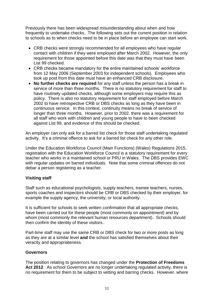Previously there has been widespread misunderstanding about when and how frequently to undertake checks. The following sets out the current position in relation to schools as to when checks need to be in place before an employee can start work.

- CRB checks were strongly recommended for all employees who have regular contact with children if they were employed after March 2002. However, the only requirement for those appointed before this date was that they must have been List 99 checked.
- CRB checks became mandatory for the entire maintained schools' workforce from 12 May 2006 (September 2003 for independent schools). Employees who took up post from this date must have an enhanced CRB disclosure.
- **No further checks are required** for any staff unless the person has a break in service of more than three months. There is no statutory requirement for staff to have routinely updated checks, although some employers may require this as policy. There is also no statutory requirement for staff employed before March 2002 to have retrospective CRB or DBS checks as long as they have been in continuous service. In this context, continuity means no break of service of longer than three months. However, prior to 2002, there was a requirement for all staff who work with children and young people to have to been checked against List 99, and evidence of this should be checked.

An employer can only ask for a barred list check for those staff undertaking regulated activity. It's a criminal offence to ask for a barred list check for any other role.

Under the Education Workforce Council (Main Functions) (Wales) Regulations 2015, registration with the Education Workforce Council is a statutory requirement for every teacher who works in a maintained school or PRU in Wales. The DBS provides EWC with regular updates on barred individuals. Note that some criminal offences do not debar a person registering as a teacher.

## **Visiting staff**

Staff such as educational psychologists, supply teachers, trainee teachers, nurses, sports coaches and inspectors should be CRB or DBS checked by their employer, for example the supply agency, the university, or local authority.

It is sufficient for schools to seek written confirmation that all appropriate checks, have been carried out for these people (most commonly on appointment) and by whom (most commonly the relevant human resources department). Schools should then confirm the identity of these visitors..

Part-time staff may use the same CRB or DBS check for two or more posts as long as they are at a similar level **and** the school has satisfied themselves about their veracity and appropriateness.

### **Governors**

The position relating to governors has changed under the **Protection of Freedoms Act 2012**. As school Governors are no longer undertaking regulated activity, there is no requirement for them to be subject to vetting and barring checks. However, where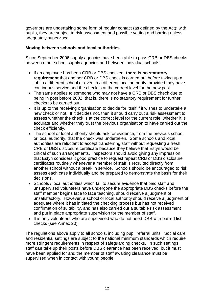governors are undertaking some form of regular contact (as defined by the Act); with pupils, they are subject to risk assessment and possible vetting and barring unless adequately supervised.

## **Moving between schools and local authorities**

Since September 2006 supply agencies have been able to pass CRB or DBS checks between other school supply agencies and between individual schools.

- If an employee has been CRB or DBS checked, **there is no statutory requirement** that another CRB or DBS check is carried out before taking up a job in a different school or even in a different local authority, provided they have continuous service and the check is at the correct level for the new post.
- The same applies to someone who may not have a CRB or DBS check due to being in post before 2002, that is, there is no statutory requirement for further checks to be carried out.
- It is up to the receiving organisation to decide for itself if it wishes to undertake a new check or not. If it decides not, then it should carry out a risk assessment to assess whether the check is at the correct level for the current role, whether it is accurate and whether they trust the previous organisation to have carried out the check efficiently.
- The school or local authority should ask for evidence, from the previous school or local authority, that the check was undertaken. Some schools and local authorities are reluctant to accept transferring staff without requesting a fresh CRB or DBS disclosure certificate because they believe that Estyn would be critical of such arrangements. Inspectors should avoid giving any impression that Estyn considers it good practice to request repeat CRB or DBS disclosure certificates routinely whenever a member of staff is recruited directly from another school without a break in service. Schools should be encouraged to risk assess each case individually and be prepared to demonstrate the basis for their decisions.
- Schools / local authorities which fail to secure evidence that paid staff and unsupervised volunteers have undergone the appropriate DBS checks before the staff member begins face to face teaching, should receive a judgment of unsatisfactory. However, a school or local authority should receive a judgment of adequate where it has initiated the checking process but has not received confirmation of suitability, and has also carried out a suitable risk assessment and put in place appropriate supervision for the member of staff.
- It is only volunteers who are supervised who do not need DBS with barred list checks (see Annex 20).

The regulations above apply to all schools, including pupil referral units. Social care and residential settings are subject to the national minimum standards which require more stringent requirements in respect of safeguarding checks. In such settings, staff **can** take up their posts before DBS clearance has been received, but it must have been applied for and the member of staff awaiting clearance must be supervised when in contact with young people.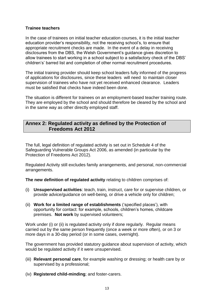## **Trainee teachers**

In the case of trainees on initial teacher education courses, it is the initial teacher education provider's responsibility, not the receiving school's, to ensure that appropriate recruitment checks are made. In the event of a delay in receiving disclosures from the DBS, the Welsh Government's guidance gives discretion to allow trainees to start working in a school subject to a satisfactory check of the DBS' children's' barred list and completion of other normal recruitment procedures.

The initial training provider should keep school leaders fully informed of the progress of applications for disclosures, since these leaders will need to maintain closer supervision of trainees who have not yet received enhanced clearance. Leaders must be satisfied that checks have indeed been done.

The situation is different for trainees on an employment-based teacher training route. They are employed by the school and should therefore be cleared by the school and in the same way as other directly employed staff.

## <span id="page-15-0"></span>**Annex 2: Regulated activity as defined by the Protection of Freedoms Act 2012**

The full, legal definition of regulated activity is set out in Schedule 4 of the Safeguarding Vulnerable Groups Act 2006, as amended (in particular by the Protection of Freedoms Act 2012).

Regulated Activity still excludes family arrangements, and personal, non-commercial arrangements.

**The new definition of regulated activity** relating to children comprises of:

- (i) **Unsupervised activities**: teach, train, instruct, care for or supervise children, or provide advice/guidance on well-being, or drive a vehicle only for children;
- (ii) **Work for a limited range of establishments** ('specified places'), with opportunity for contact: for example, schools, children's homes, childcare premises. **Not work** by supervised volunteers;

Work under (i) or (ii) is regulated activity only if done regularly. Regular means carried out by the same person frequently (once a week or more often), or on 3 or more days in a 30-day period (or in some cases, overnight).

The government has provided statutory guidance about supervision of activity, which would be regulated activity if it were unsupervised.

- (iii) **Relevant personal care**, for example washing or dressing; or health care by or supervised by a professional;
- (iv) **Registered child-minding**; and foster-carers.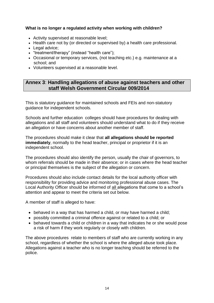## **What is no longer a regulated activity when working with children?**

- Activity supervised at reasonable level;
- Health care not by (or directed or supervised by) a health care professional.
- Legal advice;
- "treatment/therapy" (instead "health care");
- Occasional or temporary services, (not teaching etc.) e.g. maintenance at a school; and
- Volunteers supervised at a reasonable level.

## **Annex 3**: **Handling allegations of abuse against teachers and other staff Welsh Government Circular 009/2014**

This is statutory guidance for maintained schools and FEIs and non-statutory guidance for independent schools.

Schools and further education colleges should have procedures for dealing with allegations and all staff and volunteers should understand what to do if they receive an allegation or have concerns about another member of staff.

The procedures should make it clear that **all allegations should be reported immediately**, normally to the head teacher, principal or proprietor if it is an independent school.

The procedures should also identify the person, usually the chair of governors, to whom referrals should be made in their absence; or in cases where the head teacher or principal themselves is the subject of the allegation or concern.

Procedures should also include contact details for the local authority officer with responsibility for providing advice and monitoring professional abuse cases. The Local Authority Officer should be informed of all allegations that come to a school's attention and appear to meet the criteria set out below.

A member of staff is alleged to have:

- behaved in a way that has harmed a child, or may have harmed a child;
- possibly committed a criminal offence against or related to a child; or
- behaved towards a child or children in a way that indicates he or she would pose a risk of harm if they work regularly or closely with children.

The above procedures relate to members of staff who are currently working in any school, regardless of whether the school is where the alleged abuse took place. Allegations against a teacher who is no longer teaching should be referred to the police.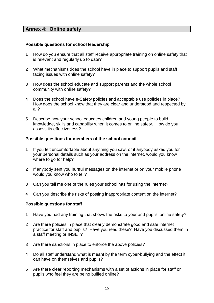## **Annex 4: Online safety**

### **Possible questions for school leadership**

- 1 How do you ensure that all staff receive appropriate training on online safety that is relevant and regularly up to date?
- 2 What mechanisms does the school have in place to support pupils and staff facing issues with online safety?
- 3 How does the school educate and support parents and the whole school community with online safety?
- 4 Does the school have e-Safety policies and acceptable use policies in place? How does the school know that they are clear and understood and respected by all?
- 5 Describe how your school educates children and young people to build knowledge, skills and capability when it comes to online safety. How do you assess its effectiveness?

#### **Possible questions for members of the school council**

- 1 If you felt uncomfortable about anything you saw, or if anybody asked you for your personal details such as your address on the internet, would you know where to go for help?
- 2 If anybody sent you hurtful messages on the internet or on your mobile phone would you know who to tell?
- 3 Can you tell me one of the rules your school has for using the internet?
- 4 Can you describe the risks of posting inappropriate content on the internet?

#### **Possible questions for staff**

- 1 Have you had any training that shows the risks to your and pupils' online safety?
- 2 Are there policies in place that clearly demonstrate good and safe internet practice for staff and pupils? Have you read these? Have you discussed them in a staff meeting or INSET?
- 3 Are there sanctions in place to enforce the above policies?
- 4 Do all staff understand what is meant by the term cyber-bullying and the effect it can have on themselves and pupils?
- 5 Are there clear reporting mechanisms with a set of actions in place for staff or pupils who feel they are being bullied online?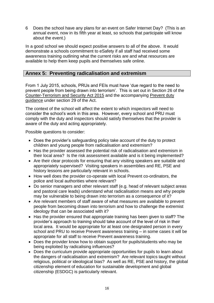6 Does the school have any plans for an event on Safer Internet Day? (This is an annual event, now in its fifth year at least, so schools that participate will know about the event.)

In a good school we should expect positive answers to all of the above. It would demonstrate a schools commitment to eSafety if all staff had received some awareness training outlining what the current risks are and what resources are available to help them keep pupils and themselves safe online.

# **Annex 5: Preventing radicalisation and extremism**

From 1 July 2015, schools, PRUs and FEIs must have 'due regard to the need to prevent people from being drawn into terrorism'. This is set out in Section 26 of the [Counter-Terrorism and Security Act 2015](http://www.legislation.gov.uk/ukpga/2015/6/contents/enacted) and the accompanying [Prevent duty](http://www.legislation.gov.uk/ukdsi/2015/9780111133309/pdfs/ukdsiod_9780111133309_en.pdf)  [guidance](http://www.legislation.gov.uk/ukdsi/2015/9780111133309/pdfs/ukdsiod_9780111133309_en.pdf) under section 29 of the Act.

The context of the school will affect the extent to which inspectors will need to consider the school's work in this area. However, every school and PRU must comply with the duty and inspectors should satisfy themselves that the provider is aware of the duty and acting appropriately.

Possible questions to consider:

- Does the provider's safeguarding policy take account of the duty to protect children and young people from radicalisation and extremism?
- Has the provider assessed the potential risk of radicalisation and extremism in their local area? Is the risk assessment available and is it being implemented?
- Are their clear protocols for ensuring that any visiting speakers are suitable and appropriately supervised? Visiting speakers in assemblies and RE, PSE and history lessons are particularly relevant in schools.
- How well does the provider co-operate with local Prevent co-ordinators, the police and local authorities where relevant?
- Do senior managers and other relevant staff (e.g. head of relevant subject areas and pastoral care leads) understand what radicalisation means and why people may be vulnerable to being drawn into terrorism as a consequence of it?
- Are relevant members of staff aware of what measures are available to prevent people from becoming drawn into terrorism and how to challenge the extremist ideology that can be associated with it?
- Has the provider ensured that appropriate training has been given to staff? The provider's approach to training should take account of the level of risk in their local area. It would be appropriate for at least one designated person in every school and PRU to receive Prevent awareness training – in some cases it will be appropriate for all staff to receive Prevent awareness training.
- Does the provider know how to obtain support for pupils/students who may be being exploited by radicalising influences?
- Does the curriculum provide appropriate opportunities for pupils to learn about the dangers of radicalisation and extremism? Are relevant topics taught without religious, political or ideological bias? As well as RE, PSE and history, the global citizenship element of education for sustainable development and global citizenship (ESDGC) is particularly relevant.